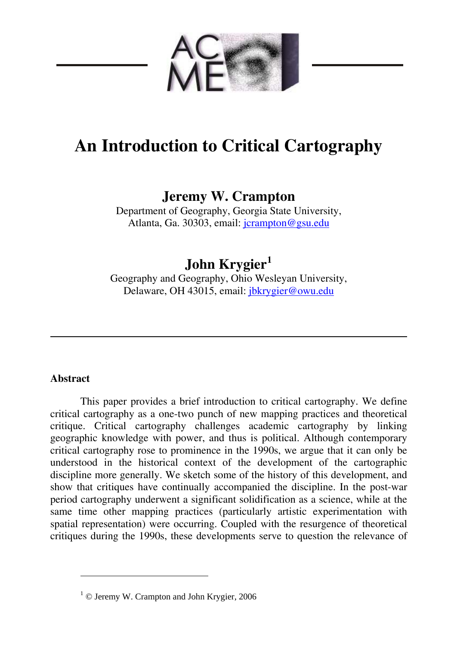

# **An Introduction to Critical Cartography**

### **Jeremy W. Crampton**

Department of Geography, Georgia State University, Atlanta, Ga. 30303, email: [jcrampton@gsu.edu](mailto:jcrampton@gsu.edu)

## **John Krygier[1](#page-0-0)**

Geography and Geography, Ohio Wesleyan University, Delaware, OH 43015, email: [jbkrygier@owu.edu](mailto:jbkrygier@owu.edu) 

### **Abstract**

 $\overline{a}$ 

This paper provides a brief introduction to critical cartography. We define critical cartography as a one-two punch of new mapping practices and theoretical critique. Critical cartography challenges academic cartography by linking geographic knowledge with power, and thus is political. Although contemporary critical cartography rose to prominence in the 1990s, we argue that it can only be understood in the historical context of the development of the cartographic discipline more generally. We sketch some of the history of this development, and show that critiques have continually accompanied the discipline. In the post-war period cartography underwent a significant solidification as a science, while at the same time other mapping practices (particularly artistic experimentation with spatial representation) were occurring. Coupled with the resurgence of theoretical critiques during the 1990s, these developments serve to question the relevance of

<span id="page-0-0"></span><sup>&</sup>lt;sup>1</sup> © Jeremy W. Crampton and John Krygier, 2006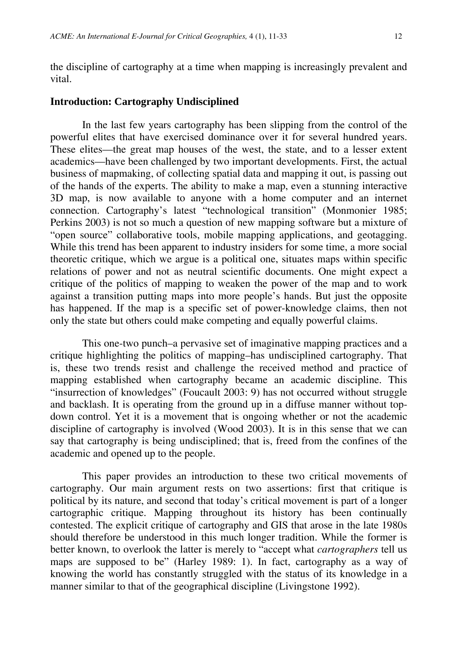the discipline of cartography at a time when mapping is increasingly prevalent and vital.

#### **Introduction: Cartography Undisciplined**

In the last few years cartography has been slipping from the control of the powerful elites that have exercised dominance over it for several hundred years. These elites—the great map houses of the west, the state, and to a lesser extent academics—have been challenged by two important developments. First, the actual business of mapmaking, of collecting spatial data and mapping it out, is passing out of the hands of the experts. The ability to make a map, even a stunning interactive 3D map, is now available to anyone with a home computer and an internet connection. Cartography's latest "technological transition" (Monmonier 1985; Perkins 2003) is not so much a question of new mapping software but a mixture of "open source" collaborative tools, mobile mapping applications, and geotagging. While this trend has been apparent to industry insiders for some time, a more social theoretic critique, which we argue is a political one, situates maps within specific relations of power and not as neutral scientific documents. One might expect a critique of the politics of mapping to weaken the power of the map and to work against a transition putting maps into more people's hands. But just the opposite has happened. If the map is a specific set of power-knowledge claims, then not only the state but others could make competing and equally powerful claims.

This one-two punch–a pervasive set of imaginative mapping practices and a critique highlighting the politics of mapping–has undisciplined cartography. That is, these two trends resist and challenge the received method and practice of mapping established when cartography became an academic discipline. This "insurrection of knowledges" (Foucault 2003: 9) has not occurred without struggle and backlash. It is operating from the ground up in a diffuse manner without topdown control. Yet it is a movement that is ongoing whether or not the academic discipline of cartography is involved (Wood 2003). It is in this sense that we can say that cartography is being undisciplined; that is, freed from the confines of the academic and opened up to the people.

This paper provides an introduction to these two critical movements of cartography. Our main argument rests on two assertions: first that critique is political by its nature, and second that today's critical movement is part of a longer cartographic critique. Mapping throughout its history has been continually contested. The explicit critique of cartography and GIS that arose in the late 1980s should therefore be understood in this much longer tradition. While the former is better known, to overlook the latter is merely to "accept what *cartographers* tell us maps are supposed to be" (Harley 1989: 1). In fact, cartography as a way of knowing the world has constantly struggled with the status of its knowledge in a manner similar to that of the geographical discipline (Livingstone 1992).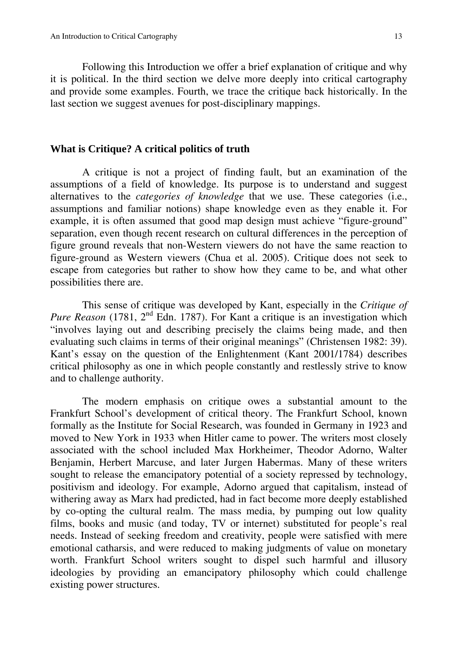Following this Introduction we offer a brief explanation of critique and why it is political. In the third section we delve more deeply into critical cartography and provide some examples. Fourth, we trace the critique back historically. In the last section we suggest avenues for post-disciplinary mappings.

#### **What is Critique? A critical politics of truth**

A critique is not a project of finding fault, but an examination of the assumptions of a field of knowledge. Its purpose is to understand and suggest alternatives to the *categories of knowledge* that we use. These categories (i.e., assumptions and familiar notions) shape knowledge even as they enable it. For example, it is often assumed that good map design must achieve "figure-ground" separation, even though recent research on cultural differences in the perception of figure ground reveals that non-Western viewers do not have the same reaction to figure-ground as Western viewers (Chua et al. 2005). Critique does not seek to escape from categories but rather to show how they came to be, and what other possibilities there are.

This sense of critique was developed by Kant, especially in the *Critique of Pure Reason* (1781, 2<sup>nd</sup> Edn. 1787). For Kant a critique is an investigation which "involves laying out and describing precisely the claims being made, and then evaluating such claims in terms of their original meanings" (Christensen 1982: 39). Kant's essay on the question of the Enlightenment (Kant 2001/1784) describes critical philosophy as one in which people constantly and restlessly strive to know and to challenge authority.

The modern emphasis on critique owes a substantial amount to the Frankfurt School's development of critical theory. The Frankfurt School, known formally as the Institute for Social Research, was founded in Germany in 1923 and moved to New York in 1933 when Hitler came to power. The writers most closely associated with the school included Max Horkheimer, Theodor Adorno, Walter Benjamin, Herbert Marcuse, and later Jurgen Habermas. Many of these writers sought to release the emancipatory potential of a society repressed by technology, positivism and ideology. For example, Adorno argued that capitalism, instead of withering away as Marx had predicted, had in fact become more deeply established by co-opting the cultural realm. The mass media, by pumping out low quality films, books and music (and today, TV or internet) substituted for people's real needs. Instead of seeking freedom and creativity, people were satisfied with mere emotional catharsis, and were reduced to making judgments of value on monetary worth. Frankfurt School writers sought to dispel such harmful and illusory ideologies by providing an emancipatory philosophy which could challenge existing power structures.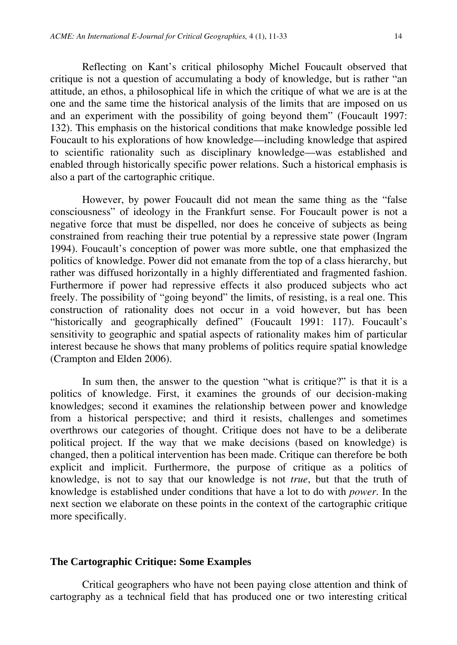Reflecting on Kant's critical philosophy Michel Foucault observed that critique is not a question of accumulating a body of knowledge, but is rather "an attitude, an ethos, a philosophical life in which the critique of what we are is at the one and the same time the historical analysis of the limits that are imposed on us and an experiment with the possibility of going beyond them" (Foucault 1997: 132). This emphasis on the historical conditions that make knowledge possible led Foucault to his explorations of how knowledge—including knowledge that aspired to scientific rationality such as disciplinary knowledge—was established and enabled through historically specific power relations. Such a historical emphasis is also a part of the cartographic critique.

However, by power Foucault did not mean the same thing as the "false consciousness" of ideology in the Frankfurt sense. For Foucault power is not a negative force that must be dispelled, nor does he conceive of subjects as being constrained from reaching their true potential by a repressive state power (Ingram 1994). Foucault's conception of power was more subtle, one that emphasized the politics of knowledge. Power did not emanate from the top of a class hierarchy, but rather was diffused horizontally in a highly differentiated and fragmented fashion. Furthermore if power had repressive effects it also produced subjects who act freely. The possibility of "going beyond" the limits, of resisting, is a real one. This construction of rationality does not occur in a void however, but has been "historically and geographically defined" (Foucault 1991: 117). Foucault's sensitivity to geographic and spatial aspects of rationality makes him of particular interest because he shows that many problems of politics require spatial knowledge (Crampton and Elden 2006).

In sum then, the answer to the question "what is critique?" is that it is a politics of knowledge. First, it examines the grounds of our decision-making knowledges; second it examines the relationship between power and knowledge from a historical perspective; and third it resists, challenges and sometimes overthrows our categories of thought. Critique does not have to be a deliberate political project. If the way that we make decisions (based on knowledge) is changed, then a political intervention has been made. Critique can therefore be both explicit and implicit. Furthermore, the purpose of critique as a politics of knowledge, is not to say that our knowledge is not *true*, but that the truth of knowledge is established under conditions that have a lot to do with *power*. In the next section we elaborate on these points in the context of the cartographic critique more specifically.

#### **The Cartographic Critique: Some Examples**

Critical geographers who have not been paying close attention and think of cartography as a technical field that has produced one or two interesting critical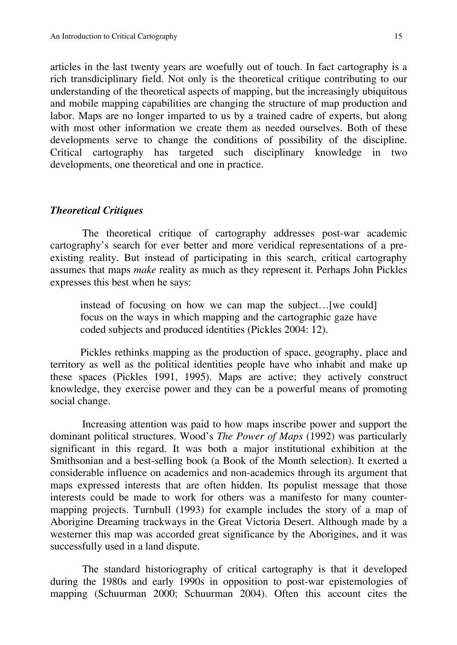articles in the last twenty years are woefully out of touch. In fact cartography is a rich transdiciplinary field. Not only is the theoretical critique contributing to our understanding of the theoretical aspects of mapping, but the increasingly ubiquitous and mobile mapping capabilities are changing the structure of map production and labor. Maps are no longer imparted to us by a trained cadre of experts, but along with most other information we create them as needed ourselves. Both of these developments serve to change the conditions of possibility of the discipline. Critical cartography has targeted such disciplinary knowledge in two developments, one theoretical and one in practice.

#### *Theoretical Critiques*

The theoretical critique of cartography addresses post-war academic cartography's search for ever better and more veridical representations of a preexisting reality. But instead of participating in this search, critical cartography assumes that maps *make* reality as much as they represent it. Perhaps John Pickles expresses this best when he says:

instead of focusing on how we can map the subject…[we could] focus on the ways in which mapping and the cartographic gaze have coded subjects and produced identities (Pickles 2004: 12).

Pickles rethinks mapping as the production of space, geography, place and territory as well as the political identities people have who inhabit and make up these spaces (Pickles 1991, 1995). Maps are active; they actively construct knowledge, they exercise power and they can be a powerful means of promoting social change.

Increasing attention was paid to how maps inscribe power and support the dominant political structures. Wood's *The Power of Maps* (1992) was particularly significant in this regard. It was both a major institutional exhibition at the Smithsonian and a best-selling book (a Book of the Month selection). It exerted a considerable influence on academics and non-academics through its argument that maps expressed interests that are often hidden. Its populist message that those interests could be made to work for others was a manifesto for many countermapping projects. Turnbull (1993) for example includes the story of a map of Aborigine Dreaming trackways in the Great Victoria Desert. Although made by a westerner this map was accorded great significance by the Aborigines, and it was successfully used in a land dispute.

The standard historiography of critical cartography is that it developed during the 1980s and early 1990s in opposition to post-war epistemologies of mapping (Schuurman 2000; Schuurman 2004). Often this account cites the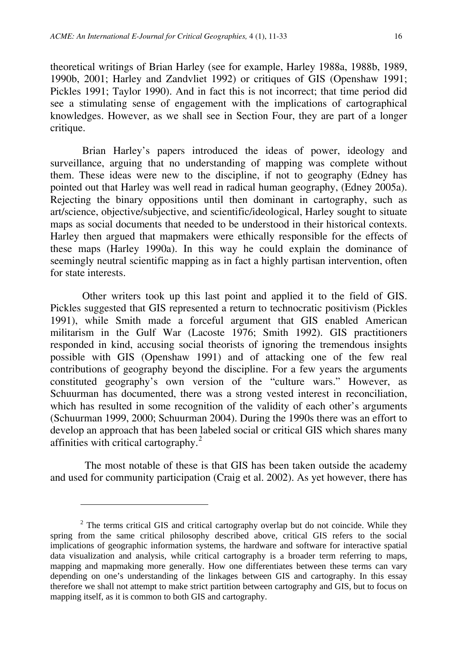theoretical writings of Brian Harley (see for example, Harley 1988a, 1988b, 1989, 1990b, 2001; Harley and Zandvliet 1992) or critiques of GIS (Openshaw 1991; Pickles 1991; Taylor 1990). And in fact this is not incorrect; that time period did see a stimulating sense of engagement with the implications of cartographical knowledges. However, as we shall see in Section Four, they are part of a longer critique.

Brian Harley's papers introduced the ideas of power, ideology and surveillance, arguing that no understanding of mapping was complete without them. These ideas were new to the discipline, if not to geography (Edney has pointed out that Harley was well read in radical human geography, (Edney 2005a). Rejecting the binary oppositions until then dominant in cartography, such as art/science, objective/subjective, and scientific/ideological, Harley sought to situate maps as social documents that needed to be understood in their historical contexts. Harley then argued that mapmakers were ethically responsible for the effects of these maps (Harley 1990a). In this way he could explain the dominance of seemingly neutral scientific mapping as in fact a highly partisan intervention, often for state interests.

Other writers took up this last point and applied it to the field of GIS. Pickles suggested that GIS represented a return to technocratic positivism (Pickles 1991), while Smith made a forceful argument that GIS enabled American militarism in the Gulf War (Lacoste 1976; Smith 1992). GIS practitioners responded in kind, accusing social theorists of ignoring the tremendous insights possible with GIS (Openshaw 1991) and of attacking one of the few real contributions of geography beyond the discipline. For a few years the arguments constituted geography's own version of the "culture wars." However, as Schuurman has documented, there was a strong vested interest in reconciliation, which has resulted in some recognition of the validity of each other's arguments (Schuurman 1999, 2000; Schuurman 2004). During the 1990s there was an effort to develop an approach that has been labeled social or critical GIS which shares many affinities with critical cartography.[2](#page-5-0)

 The most notable of these is that GIS has been taken outside the academy and used for community participation (Craig et al. 2002). As yet however, there has

 $\overline{a}$ 

<span id="page-5-0"></span> $2$  The terms critical GIS and critical cartography overlap but do not coincide. While they spring from the same critical philosophy described above, critical GIS refers to the social implications of geographic information systems, the hardware and software for interactive spatial data visualization and analysis, while critical cartography is a broader term referring to maps, mapping and mapmaking more generally. How one differentiates between these terms can vary depending on one's understanding of the linkages between GIS and cartography. In this essay therefore we shall not attempt to make strict partition between cartography and GIS, but to focus on mapping itself, as it is common to both GIS and cartography.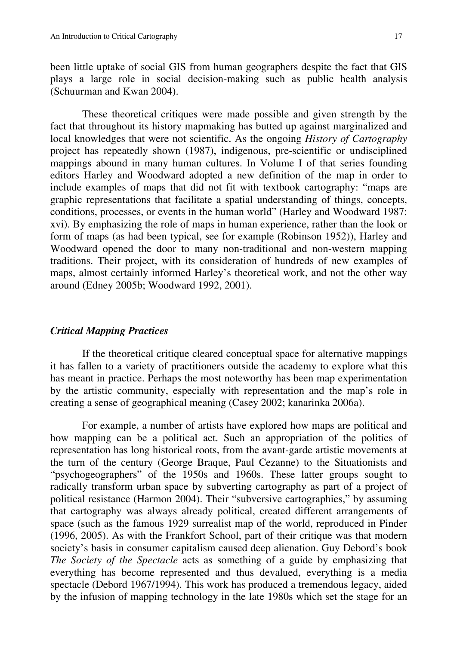been little uptake of social GIS from human geographers despite the fact that GIS plays a large role in social decision-making such as public health analysis (Schuurman and Kwan 2004).

These theoretical critiques were made possible and given strength by the fact that throughout its history mapmaking has butted up against marginalized and local knowledges that were not scientific. As the ongoing *History of Cartography* project has repeatedly shown (1987), indigenous, pre-scientific or undisciplined mappings abound in many human cultures. In Volume I of that series founding editors Harley and Woodward adopted a new definition of the map in order to include examples of maps that did not fit with textbook cartography: "maps are graphic representations that facilitate a spatial understanding of things, concepts, conditions, processes, or events in the human world" (Harley and Woodward 1987: xvi). By emphasizing the role of maps in human experience, rather than the look or form of maps (as had been typical, see for example (Robinson 1952)), Harley and Woodward opened the door to many non-traditional and non-western mapping traditions. Their project, with its consideration of hundreds of new examples of maps, almost certainly informed Harley's theoretical work, and not the other way around (Edney 2005b; Woodward 1992, 2001).

#### *Critical Mapping Practices*

If the theoretical critique cleared conceptual space for alternative mappings it has fallen to a variety of practitioners outside the academy to explore what this has meant in practice. Perhaps the most noteworthy has been map experimentation by the artistic community, especially with representation and the map's role in creating a sense of geographical meaning (Casey 2002; kanarinka 2006a).

For example, a number of artists have explored how maps are political and how mapping can be a political act. Such an appropriation of the politics of representation has long historical roots, from the avant-garde artistic movements at the turn of the century (George Braque, Paul Cezanne) to the Situationists and "psychogeographers" of the 1950s and 1960s. These latter groups sought to radically transform urban space by subverting cartography as part of a project of political resistance (Harmon 2004). Their "subversive cartographies," by assuming that cartography was always already political, created different arrangements of space (such as the famous 1929 surrealist map of the world, reproduced in Pinder (1996, 2005). As with the Frankfort School, part of their critique was that modern society's basis in consumer capitalism caused deep alienation. Guy Debord's book *The Society of the Spectacle* acts as something of a guide by emphasizing that everything has become represented and thus devalued, everything is a media spectacle (Debord 1967/1994). This work has produced a tremendous legacy, aided by the infusion of mapping technology in the late 1980s which set the stage for an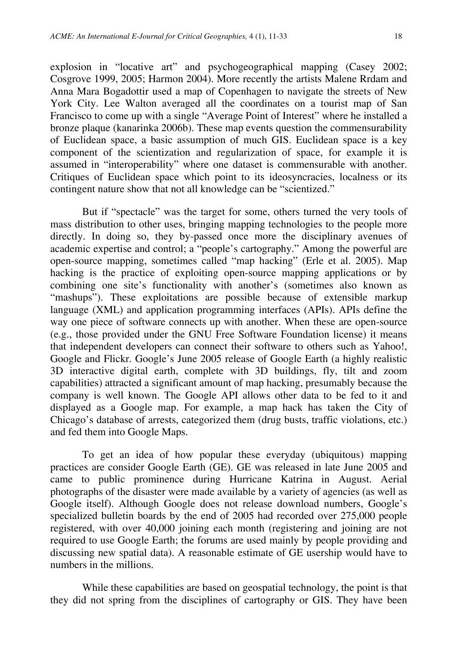explosion in "locative art" and psychogeographical mapping (Casey 2002; Cosgrove 1999, 2005; Harmon 2004). More recently the artists Malene Rrdam and Anna Mara Bogadottir used a map of Copenhagen to navigate the streets of New York City. Lee Walton averaged all the coordinates on a tourist map of San Francisco to come up with a single "Average Point of Interest" where he installed a bronze plaque (kanarinka 2006b). These map events question the commensurability of Euclidean space, a basic assumption of much GIS. Euclidean space is a key component of the scientization and regularization of space, for example it is assumed in "interoperability" where one dataset is commensurable with another. Critiques of Euclidean space which point to its ideosyncracies, localness or its contingent nature show that not all knowledge can be "scientized."

But if "spectacle" was the target for some, others turned the very tools of mass distribution to other uses, bringing mapping technologies to the people more directly. In doing so, they by-passed once more the disciplinary avenues of academic expertise and control; a "people's cartography." Among the powerful are open-source mapping, sometimes called "map hacking" (Erle et al. 2005). Map hacking is the practice of exploiting open-source mapping applications or by combining one site's functionality with another's (sometimes also known as "mashups"). These exploitations are possible because of extensible markup language (XML) and application programming interfaces (APIs). APIs define the way one piece of software connects up with another. When these are open-source (e.g., those provided under the GNU Free Software Foundation license) it means that independent developers can connect their software to others such as Yahoo!, Google and Flickr. Google's June 2005 release of Google Earth (a highly realistic 3D interactive digital earth, complete with 3D buildings, fly, tilt and zoom capabilities) attracted a significant amount of map hacking, presumably because the company is well known. The Google API allows other data to be fed to it and displayed as a Google map. For example, a map hack has taken the City of Chicago's database of arrests, categorized them (drug busts, traffic violations, etc.) and fed them into Google Maps.

To get an idea of how popular these everyday (ubiquitous) mapping practices are consider Google Earth (GE). GE was released in late June 2005 and came to public prominence during Hurricane Katrina in August. Aerial photographs of the disaster were made available by a variety of agencies (as well as Google itself). Although Google does not release download numbers, Google's specialized bulletin boards by the end of 2005 had recorded over 275,000 people registered, with over 40,000 joining each month (registering and joining are not required to use Google Earth; the forums are used mainly by people providing and discussing new spatial data). A reasonable estimate of GE usership would have to numbers in the millions.

While these capabilities are based on geospatial technology, the point is that they did not spring from the disciplines of cartography or GIS. They have been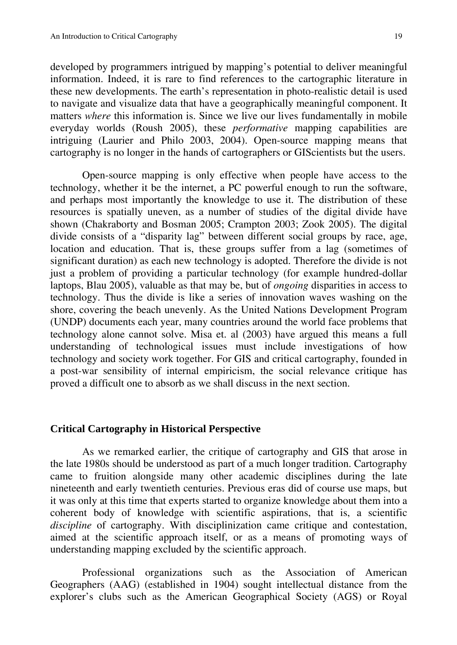developed by programmers intrigued by mapping's potential to deliver meaningful information. Indeed, it is rare to find references to the cartographic literature in these new developments. The earth's representation in photo-realistic detail is used to navigate and visualize data that have a geographically meaningful component. It matters *where* this information is. Since we live our lives fundamentally in mobile everyday worlds (Roush 2005), these *performative* mapping capabilities are intriguing (Laurier and Philo 2003, 2004). Open-source mapping means that cartography is no longer in the hands of cartographers or GIScientists but the users.

Open-source mapping is only effective when people have access to the technology, whether it be the internet, a PC powerful enough to run the software, and perhaps most importantly the knowledge to use it. The distribution of these resources is spatially uneven, as a number of studies of the digital divide have shown (Chakraborty and Bosman 2005; Crampton 2003; Zook 2005). The digital divide consists of a "disparity lag" between different social groups by race, age, location and education. That is, these groups suffer from a lag (sometimes of significant duration) as each new technology is adopted. Therefore the divide is not just a problem of providing a particular technology (for example hundred-dollar laptops, Blau 2005), valuable as that may be, but of *ongoing* disparities in access to technology. Thus the divide is like a series of innovation waves washing on the shore, covering the beach unevenly. As the United Nations Development Program (UNDP) documents each year, many countries around the world face problems that technology alone cannot solve. Misa et. al (2003) have argued this means a full understanding of technological issues must include investigations of how technology and society work together. For GIS and critical cartography, founded in a post-war sensibility of internal empiricism, the social relevance critique has proved a difficult one to absorb as we shall discuss in the next section.

#### **Critical Cartography in Historical Perspective**

As we remarked earlier, the critique of cartography and GIS that arose in the late 1980s should be understood as part of a much longer tradition. Cartography came to fruition alongside many other academic disciplines during the late nineteenth and early twentieth centuries. Previous eras did of course use maps, but it was only at this time that experts started to organize knowledge about them into a coherent body of knowledge with scientific aspirations, that is, a scientific *discipline* of cartography. With disciplinization came critique and contestation, aimed at the scientific approach itself, or as a means of promoting ways of understanding mapping excluded by the scientific approach.

Professional organizations such as the Association of American Geographers (AAG) (established in 1904) sought intellectual distance from the explorer's clubs such as the American Geographical Society (AGS) or Royal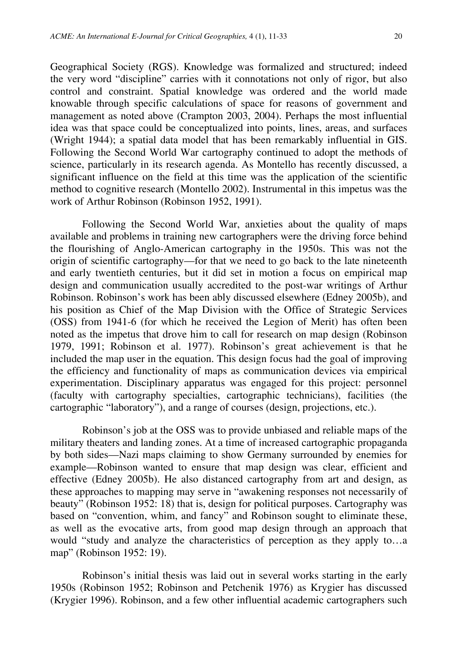Geographical Society (RGS). Knowledge was formalized and structured; indeed the very word "discipline" carries with it connotations not only of rigor, but also control and constraint. Spatial knowledge was ordered and the world made knowable through specific calculations of space for reasons of government and management as noted above (Crampton 2003, 2004). Perhaps the most influential idea was that space could be conceptualized into points, lines, areas, and surfaces (Wright 1944); a spatial data model that has been remarkably influential in GIS. Following the Second World War cartography continued to adopt the methods of science, particularly in its research agenda. As Montello has recently discussed, a significant influence on the field at this time was the application of the scientific method to cognitive research (Montello 2002). Instrumental in this impetus was the work of Arthur Robinson (Robinson 1952, 1991).

Following the Second World War, anxieties about the quality of maps available and problems in training new cartographers were the driving force behind the flourishing of Anglo-American cartography in the 1950s. This was not the origin of scientific cartography—for that we need to go back to the late nineteenth and early twentieth centuries, but it did set in motion a focus on empirical map design and communication usually accredited to the post-war writings of Arthur Robinson. Robinson's work has been ably discussed elsewhere (Edney 2005b), and his position as Chief of the Map Division with the Office of Strategic Services (OSS) from 1941-6 (for which he received the Legion of Merit) has often been noted as the impetus that drove him to call for research on map design (Robinson 1979, 1991; Robinson et al. 1977). Robinson's great achievement is that he included the map user in the equation. This design focus had the goal of improving the efficiency and functionality of maps as communication devices via empirical experimentation. Disciplinary apparatus was engaged for this project: personnel (faculty with cartography specialties, cartographic technicians), facilities (the cartographic "laboratory"), and a range of courses (design, projections, etc.).

Robinson's job at the OSS was to provide unbiased and reliable maps of the military theaters and landing zones. At a time of increased cartographic propaganda by both sides—Nazi maps claiming to show Germany surrounded by enemies for example—Robinson wanted to ensure that map design was clear, efficient and effective (Edney 2005b). He also distanced cartography from art and design, as these approaches to mapping may serve in "awakening responses not necessarily of beauty" (Robinson 1952: 18) that is, design for political purposes. Cartography was based on "convention, whim, and fancy" and Robinson sought to eliminate these, as well as the evocative arts, from good map design through an approach that would "study and analyze the characteristics of perception as they apply to…a map" (Robinson 1952: 19).

Robinson's initial thesis was laid out in several works starting in the early 1950s (Robinson 1952; Robinson and Petchenik 1976) as Krygier has discussed (Krygier 1996). Robinson, and a few other influential academic cartographers such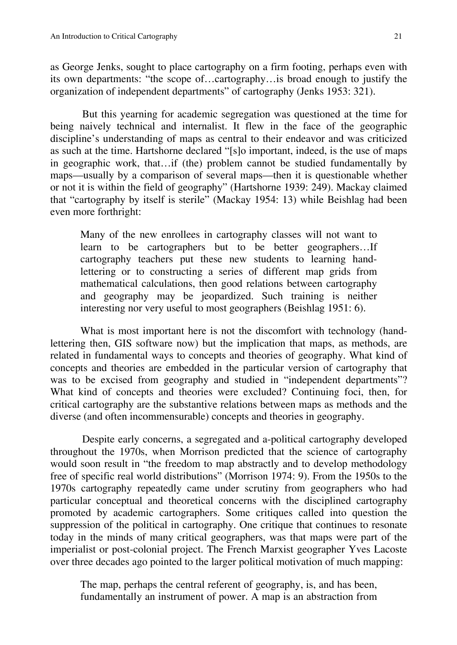as George Jenks, sought to place cartography on a firm footing, perhaps even with its own departments: "the scope of…cartography…is broad enough to justify the organization of independent departments" of cartography (Jenks 1953: 321).

But this yearning for academic segregation was questioned at the time for being naively technical and internalist. It flew in the face of the geographic discipline's understanding of maps as central to their endeavor and was criticized as such at the time. Hartshorne declared "[s]o important, indeed, is the use of maps in geographic work, that…if (the) problem cannot be studied fundamentally by maps—usually by a comparison of several maps—then it is questionable whether or not it is within the field of geography" (Hartshorne 1939: 249). Mackay claimed that "cartography by itself is sterile" (Mackay 1954: 13) while Beishlag had been even more forthright:

Many of the new enrollees in cartography classes will not want to learn to be cartographers but to be better geographers…If cartography teachers put these new students to learning handlettering or to constructing a series of different map grids from mathematical calculations, then good relations between cartography and geography may be jeopardized. Such training is neither interesting nor very useful to most geographers (Beishlag 1951: 6).

What is most important here is not the discomfort with technology (handlettering then, GIS software now) but the implication that maps, as methods, are related in fundamental ways to concepts and theories of geography. What kind of concepts and theories are embedded in the particular version of cartography that was to be excised from geography and studied in "independent departments"? What kind of concepts and theories were excluded? Continuing foci, then, for critical cartography are the substantive relations between maps as methods and the diverse (and often incommensurable) concepts and theories in geography.

Despite early concerns, a segregated and a-political cartography developed throughout the 1970s, when Morrison predicted that the science of cartography would soon result in "the freedom to map abstractly and to develop methodology free of specific real world distributions" (Morrison 1974: 9). From the 1950s to the 1970s cartography repeatedly came under scrutiny from geographers who had particular conceptual and theoretical concerns with the disciplined cartography promoted by academic cartographers. Some critiques called into question the suppression of the political in cartography. One critique that continues to resonate today in the minds of many critical geographers, was that maps were part of the imperialist or post-colonial project. The French Marxist geographer Yves Lacoste over three decades ago pointed to the larger political motivation of much mapping:

The map, perhaps the central referent of geography, is, and has been, fundamentally an instrument of power. A map is an abstraction from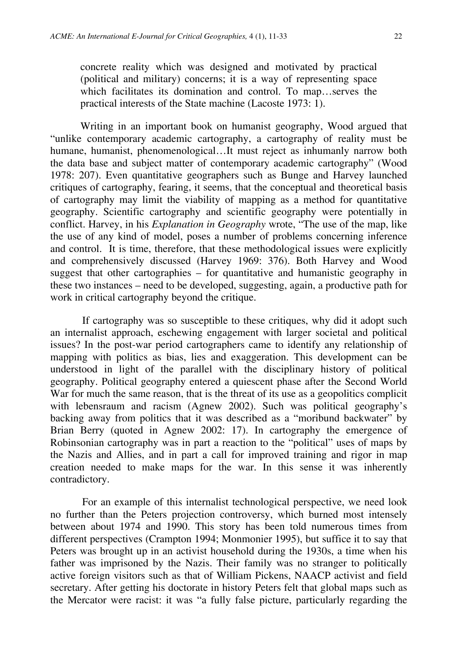concrete reality which was designed and motivated by practical (political and military) concerns; it is a way of representing space which facilitates its domination and control. To map...serves the practical interests of the State machine (Lacoste 1973: 1).

Writing in an important book on humanist geography, Wood argued that "unlike contemporary academic cartography, a cartography of reality must be humane, humanist, phenomenological…It must reject as inhumanly narrow both the data base and subject matter of contemporary academic cartography" (Wood 1978: 207). Even quantitative geographers such as Bunge and Harvey launched critiques of cartography, fearing, it seems, that the conceptual and theoretical basis of cartography may limit the viability of mapping as a method for quantitative geography. Scientific cartography and scientific geography were potentially in conflict. Harvey, in his *Explanation in Geography* wrote, "The use of the map, like the use of any kind of model, poses a number of problems concerning inference and control. It is time, therefore, that these methodological issues were explicitly and comprehensively discussed (Harvey 1969: 376). Both Harvey and Wood suggest that other cartographies – for quantitative and humanistic geography in these two instances – need to be developed, suggesting, again, a productive path for work in critical cartography beyond the critique.

If cartography was so susceptible to these critiques, why did it adopt such an internalist approach, eschewing engagement with larger societal and political issues? In the post-war period cartographers came to identify any relationship of mapping with politics as bias, lies and exaggeration. This development can be understood in light of the parallel with the disciplinary history of political geography. Political geography entered a quiescent phase after the Second World War for much the same reason, that is the threat of its use as a geopolitics complicit with lebensraum and racism (Agnew 2002). Such was political geography's backing away from politics that it was described as a "moribund backwater" by Brian Berry (quoted in Agnew 2002: 17). In cartography the emergence of Robinsonian cartography was in part a reaction to the "political" uses of maps by the Nazis and Allies, and in part a call for improved training and rigor in map creation needed to make maps for the war. In this sense it was inherently contradictory.

For an example of this internalist technological perspective, we need look no further than the Peters projection controversy, which burned most intensely between about 1974 and 1990. This story has been told numerous times from different perspectives (Crampton 1994; Monmonier 1995), but suffice it to say that Peters was brought up in an activist household during the 1930s, a time when his father was imprisoned by the Nazis. Their family was no stranger to politically active foreign visitors such as that of William Pickens, NAACP activist and field secretary. After getting his doctorate in history Peters felt that global maps such as the Mercator were racist: it was "a fully false picture, particularly regarding the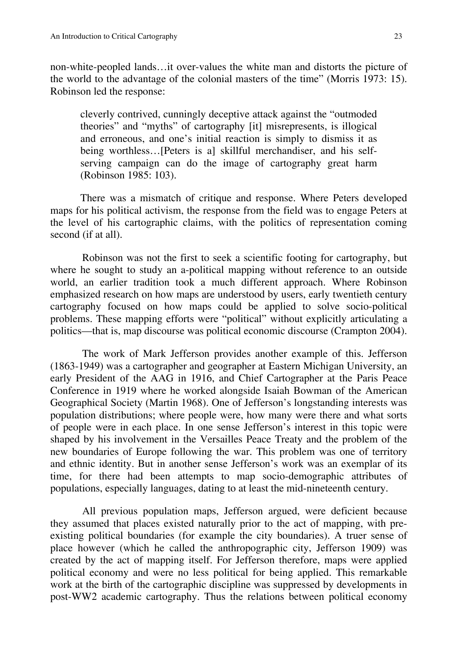non-white-peopled lands…it over-values the white man and distorts the picture of the world to the advantage of the colonial masters of the time" (Morris 1973: 15). Robinson led the response:

cleverly contrived, cunningly deceptive attack against the "outmoded theories" and "myths" of cartography [it] misrepresents, is illogical and erroneous, and one's initial reaction is simply to dismiss it as being worthless...[Peters is a] skillful merchandiser, and his selfserving campaign can do the image of cartography great harm (Robinson 1985: 103).

There was a mismatch of critique and response. Where Peters developed maps for his political activism, the response from the field was to engage Peters at the level of his cartographic claims, with the politics of representation coming second (if at all).

Robinson was not the first to seek a scientific footing for cartography, but where he sought to study an a-political mapping without reference to an outside world, an earlier tradition took a much different approach. Where Robinson emphasized research on how maps are understood by users, early twentieth century cartography focused on how maps could be applied to solve socio-political problems. These mapping efforts were "political" without explicitly articulating a politics—that is, map discourse was political economic discourse (Crampton 2004).

The work of Mark Jefferson provides another example of this. Jefferson (1863-1949) was a cartographer and geographer at Eastern Michigan University, an early President of the AAG in 1916, and Chief Cartographer at the Paris Peace Conference in 1919 where he worked alongside Isaiah Bowman of the American Geographical Society (Martin 1968). One of Jefferson's longstanding interests was population distributions; where people were, how many were there and what sorts of people were in each place. In one sense Jefferson's interest in this topic were shaped by his involvement in the Versailles Peace Treaty and the problem of the new boundaries of Europe following the war. This problem was one of territory and ethnic identity. But in another sense Jefferson's work was an exemplar of its time, for there had been attempts to map socio-demographic attributes of populations, especially languages, dating to at least the mid-nineteenth century.

All previous population maps, Jefferson argued, were deficient because they assumed that places existed naturally prior to the act of mapping, with preexisting political boundaries (for example the city boundaries). A truer sense of place however (which he called the anthropographic city, Jefferson 1909) was created by the act of mapping itself. For Jefferson therefore, maps were applied political economy and were no less political for being applied. This remarkable work at the birth of the cartographic discipline was suppressed by developments in post-WW2 academic cartography. Thus the relations between political economy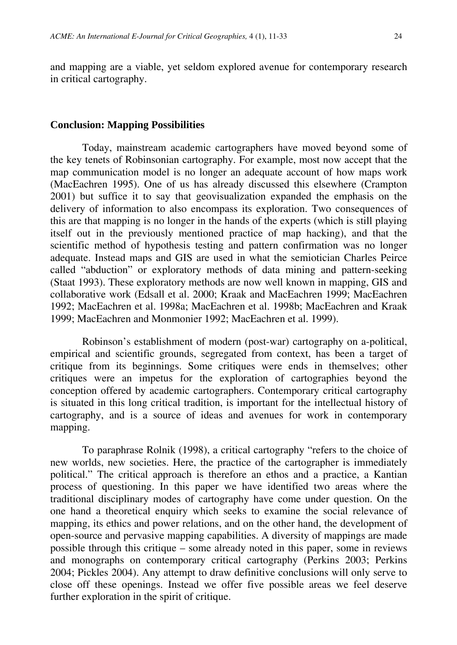and mapping are a viable, yet seldom explored avenue for contemporary research in critical cartography.

#### **Conclusion: Mapping Possibilities**

Today, mainstream academic cartographers have moved beyond some of the key tenets of Robinsonian cartography. For example, most now accept that the map communication model is no longer an adequate account of how maps work (MacEachren 1995). One of us has already discussed this elsewhere (Crampton 2001) but suffice it to say that geovisualization expanded the emphasis on the delivery of information to also encompass its exploration. Two consequences of this are that mapping is no longer in the hands of the experts (which is still playing itself out in the previously mentioned practice of map hacking), and that the scientific method of hypothesis testing and pattern confirmation was no longer adequate. Instead maps and GIS are used in what the semiotician Charles Peirce called "abduction" or exploratory methods of data mining and pattern-seeking (Staat 1993). These exploratory methods are now well known in mapping, GIS and collaborative work (Edsall et al. 2000; Kraak and MacEachren 1999; MacEachren 1992; MacEachren et al. 1998a; MacEachren et al. 1998b; MacEachren and Kraak 1999; MacEachren and Monmonier 1992; MacEachren et al. 1999).

Robinson's establishment of modern (post-war) cartography on a-political, empirical and scientific grounds, segregated from context, has been a target of critique from its beginnings. Some critiques were ends in themselves; other critiques were an impetus for the exploration of cartographies beyond the conception offered by academic cartographers. Contemporary critical cartography is situated in this long critical tradition, is important for the intellectual history of cartography, and is a source of ideas and avenues for work in contemporary mapping.

To paraphrase Rolnik (1998), a critical cartography "refers to the choice of new worlds, new societies. Here, the practice of the cartographer is immediately political." The critical approach is therefore an ethos and a practice, a Kantian process of questioning. In this paper we have identified two areas where the traditional disciplinary modes of cartography have come under question. On the one hand a theoretical enquiry which seeks to examine the social relevance of mapping, its ethics and power relations, and on the other hand, the development of open-source and pervasive mapping capabilities. A diversity of mappings are made possible through this critique – some already noted in this paper, some in reviews and monographs on contemporary critical cartography (Perkins 2003; Perkins 2004; Pickles 2004). Any attempt to draw definitive conclusions will only serve to close off these openings. Instead we offer five possible areas we feel deserve further exploration in the spirit of critique.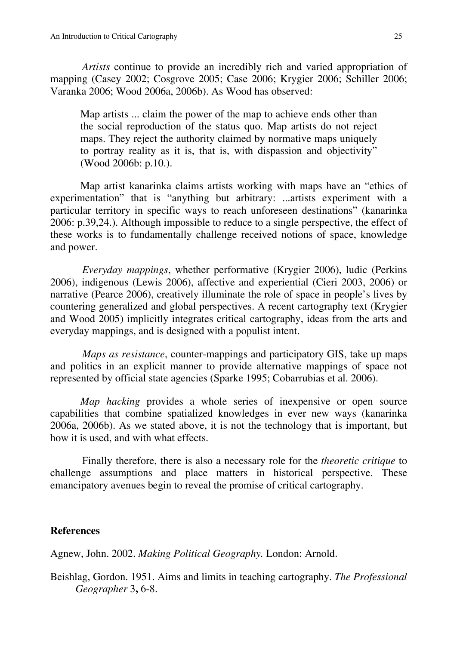*Artists* continue to provide an incredibly rich and varied appropriation of mapping (Casey 2002; Cosgrove 2005; Case 2006; Krygier 2006; Schiller 2006; Varanka 2006; Wood 2006a, 2006b). As Wood has observed:

Map artists ... claim the power of the map to achieve ends other than the social reproduction of the status quo. Map artists do not reject maps. They reject the authority claimed by normative maps uniquely to portray reality as it is, that is, with dispassion and objectivity" (Wood 2006b: p.10.).

Map artist kanarinka claims artists working with maps have an "ethics of experimentation" that is "anything but arbitrary: ...artists experiment with a particular territory in specific ways to reach unforeseen destinations" (kanarinka 2006: p.39,24.). Although impossible to reduce to a single perspective, the effect of these works is to fundamentally challenge received notions of space, knowledge and power.

*Everyday mappings*, whether performative (Krygier 2006), ludic (Perkins 2006), indigenous (Lewis 2006), affective and experiential (Cieri 2003, 2006) or narrative (Pearce 2006), creatively illuminate the role of space in people's lives by countering generalized and global perspectives. A recent cartography text (Krygier and Wood 2005) implicitly integrates critical cartography, ideas from the arts and everyday mappings, and is designed with a populist intent.

*Maps as resistance*, counter-mappings and participatory GIS, take up maps and politics in an explicit manner to provide alternative mappings of space not represented by official state agencies (Sparke 1995; Cobarrubias et al. 2006).

*Map hacking* provides a whole series of inexpensive or open source capabilities that combine spatialized knowledges in ever new ways (kanarinka 2006a, 2006b). As we stated above, it is not the technology that is important, but how it is used, and with what effects.

Finally therefore, there is also a necessary role for the *theoretic critique* to challenge assumptions and place matters in historical perspective. These emancipatory avenues begin to reveal the promise of critical cartography.

#### **References**

Agnew, John. 2002. *Making Political Geography.* London: Arnold.

Beishlag, Gordon. 1951. Aims and limits in teaching cartography. *The Professional Geographer* 3**,** 6-8.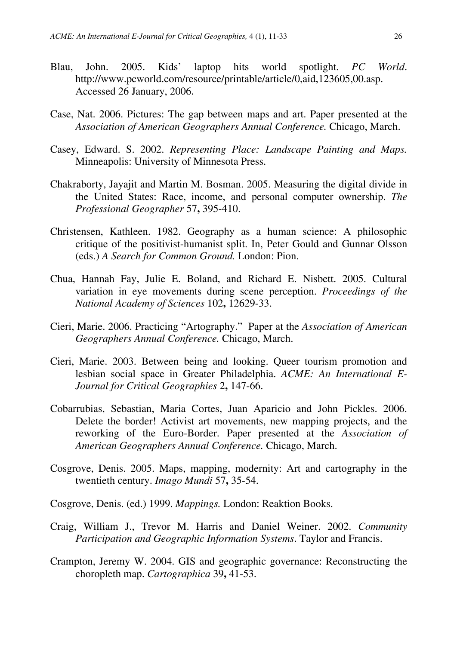- Blau, John. 2005. Kids' laptop hits world spotlight. *PC World*. . <http://www.pcworld.com/resource/printable/article/0,aid,123605,00.asp> Accessed 26 January, 2006 .
- Case, Nat. 2006. Pictures: The gap between maps and art. Paper presented at the *Association of American Geographers Annual Conference.* Chicago, March.
- Casey, Edward. S. 2002. *Representing Place: Landscape Painting and Maps.*  Minneapolis: University of Minnesota Press.
- Chakraborty, Jayajit and Martin M. Bosman. 2005. Measuring the digital divide in the United States: Race, income, and personal computer ownership. *The Professional Geographer* 57**,** 395-410.
- Christensen, Kathleen. 1982. Geography as a human science: A philosophic critique of the positivist-humanist split. In, Peter Gould and Gunnar Olsson (eds.) *A Search for Common Ground.* London: Pion.
- Chua, Hannah Fay, Julie E. Boland, and Richard E. Nisbett. 2005. Cultural variation in eye movements during scene perception. *Proceedings of the National Academy of Sciences* 102**,** 12629-33.
- Cieri, Marie. 2006. Practicing "Artography." Paper at the *Association of American Geographers Annual Conference.* Chicago, March.
- Cieri, Marie. 2003. Between being and looking. Queer tourism promotion and lesbian social space in Greater Philadelphia. *ACME: An International E-Journal for Critical Geographies* 2**,** 147-66.
- Cobarrubias, Sebastian, Maria Cortes, Juan Aparicio and John Pickles. 2006. Delete the border! Activist art movements, new mapping projects, and the reworking of the Euro-Border. Paper presented at the *Association of American Geographers Annual Conference.* Chicago, March.
- Cosgrove, Denis. 2005. Maps, mapping, modernity: Art and cartography in the twentieth century. *Imago Mundi* 57**,** 35-54.
- Cosgrove, Denis. (ed.) 1999. *Mappings.* London: Reaktion Books.
- Craig, William J., Trevor M. Harris and Daniel Weiner. 2002. *Community Participation and Geographic Information Systems*. Taylor and Francis.
- Crampton, Jeremy W. 2004. GIS and geographic governance: Reconstructing the choropleth map. *Cartographica* 39**,** 41-53.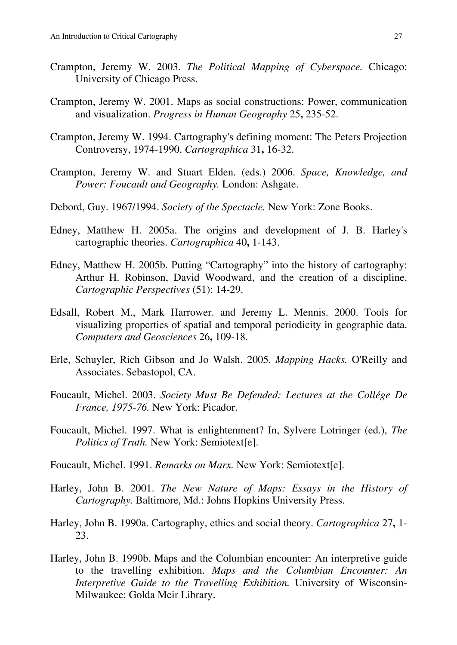- Crampton, Jeremy W. 2003. *The Political Mapping of Cyberspace.* Chicago: University of Chicago Press.
- Crampton, Jeremy W. 2001. Maps as social constructions: Power, communication and visualization. *Progress in Human Geography* 25**,** 235-52.
- Crampton, Jeremy W. 1994. Cartography's defining moment: The Peters Projection Controversy, 1974-1990. *Cartographica* 31**,** 16-32.
- Crampton, Jeremy W. and Stuart Elden. (eds.) 2006. *Space, Knowledge, and Power: Foucault and Geography.* London: Ashgate.
- Debord, Guy. 1967/1994. *Society of the Spectacle.* New York: Zone Books.
- Edney, Matthew H. 2005a. The origins and development of J. B. Harley's cartographic theories. *Cartographica* 40**,** 1-143.
- Edney, Matthew H. 2005b. Putting "Cartography" into the history of cartography: Arthur H. Robinson, David Woodward, and the creation of a discipline. *Cartographic Perspectives* (51): 14-29.
- Edsall, Robert M., Mark Harrower. and Jeremy L. Mennis. 2000. Tools for visualizing properties of spatial and temporal periodicity in geographic data. *Computers and Geosciences* 26**,** 109-18.
- Erle, Schuyler, Rich Gibson and Jo Walsh. 2005. *Mapping Hacks.* O'Reilly and Associates. Sebastopol, CA.
- Foucault, Michel. 2003. *Society Must Be Defended: Lectures at the Collége De France, 1975-76.* New York: Picador.
- Foucault, Michel. 1997. What is enlightenment? In, Sylvere Lotringer (ed.), *The Politics of Truth.* New York: Semiotext[e].
- Foucault, Michel. 1991. *Remarks on Marx.* New York: Semiotext[e].
- Harley, John B. 2001. *The New Nature of Maps: Essays in the History of Cartography.* Baltimore, Md.: Johns Hopkins University Press.
- Harley, John B. 1990a. Cartography, ethics and social theory. *Cartographica* 27**,** 1- 23.
- Harley, John B. 1990b. Maps and the Columbian encounter: An interpretive guide to the travelling exhibition. *Maps and the Columbian Encounter: An Interpretive Guide to the Travelling Exhibition.* University of Wisconsin-Milwaukee: Golda Meir Library.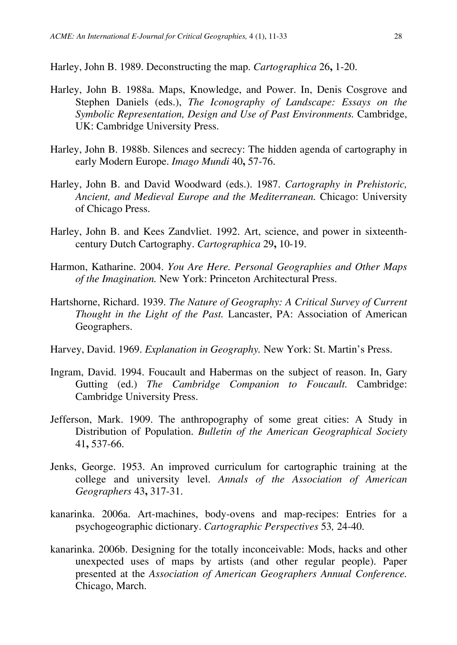Harley, John B. 1989. Deconstructing the map. *Cartographica* 26**,** 1-20.

- Harley, John B. 1988a. Maps, Knowledge, and Power. In, Denis Cosgrove and Stephen Daniels (eds.), *The Iconography of Landscape: Essays on the Symbolic Representation, Design and Use of Past Environments.* Cambridge, UK: Cambridge University Press.
- Harley, John B. 1988b. Silences and secrecy: The hidden agenda of cartography in early Modern Europe. *Imago Mundi* 40**,** 57-76.
- Harley, John B. and David Woodward (eds.). 1987. *Cartography in Prehistoric, Ancient, and Medieval Europe and the Mediterranean.* Chicago: University of Chicago Press.
- Harley, John B. and Kees Zandvliet. 1992. Art, science, and power in sixteenthcentury Dutch Cartography. *Cartographica* 29**,** 10-19.
- Harmon, Katharine. 2004. *You Are Here. Personal Geographies and Other Maps of the Imagination.* New York: Princeton Architectural Press.
- Hartshorne, Richard. 1939. *The Nature of Geography: A Critical Survey of Current Thought in the Light of the Past.* Lancaster, PA: Association of American Geographers.
- Harvey, David. 1969. *Explanation in Geography.* New York: St. Martin's Press.
- Ingram, David. 1994. Foucault and Habermas on the subject of reason. In, Gary Gutting (ed.) *The Cambridge Companion to Foucault.* Cambridge: Cambridge University Press.
- Jefferson, Mark. 1909. The anthropography of some great cities: A Study in Distribution of Population. *Bulletin of the American Geographical Society* 41**,** 537-66.
- Jenks, George. 1953. An improved curriculum for cartographic training at the college and university level. *Annals of the Association of American Geographers* 43**,** 317-31.
- kanarinka. 2006a. Art-machines, body-ovens and map-recipes: Entries for a psychogeographic dictionary. *Cartographic Perspectives* 53*,* 24-40.
- kanarinka. 2006b. Designing for the totally inconceivable: Mods, hacks and other unexpected uses of maps by artists (and other regular people). Paper presented at the *Association of American Geographers Annual Conference.*  Chicago, March.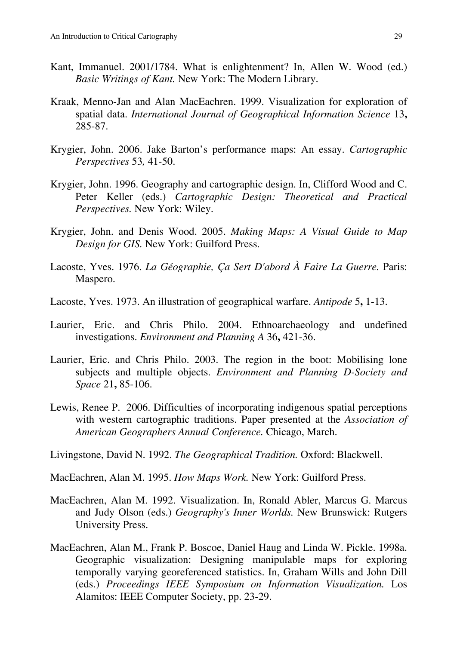- Kant, Immanuel. 2001/1784. What is enlightenment? In, Allen W. Wood (ed.) *Basic Writings of Kant.* New York: The Modern Library.
- Kraak, Menno-Jan and Alan MacEachren. 1999. Visualization for exploration of spatial data. *International Journal of Geographical Information Science* 13**,** 285-87.
- Krygier, John. 2006. Jake Barton's performance maps: An essay. *Cartographic Perspectives* 53*,* 41-50.
- Krygier, John. 1996. Geography and cartographic design. In, Clifford Wood and C. Peter Keller (eds.) *Cartographic Design: Theoretical and Practical Perspectives.* New York: Wiley.
- Krygier, John. and Denis Wood. 2005. *Making Maps: A Visual Guide to Map Design for GIS.* New York: Guilford Press.
- Lacoste, Yves. 1976. *La Géographie, Ça Sert D'abord À Faire La Guerre*. Paris: Maspero.
- Lacoste, Yves. 1973. An illustration of geographical warfare. *Antipode* 5**,** 1-13.
- Laurier, Eric. and Chris Philo. 2004. Ethnoarchaeology and undefined investigations. *Environment and Planning A* 36**,** 421-36.
- Laurier, Eric. and Chris Philo. 2003. The region in the boot: Mobilising lone subjects and multiple objects. *Environment and Planning D-Society and Space* 21**,** 85-106.
- Lewis, Renee P. 2006. Difficulties of incorporating indigenous spatial perceptions with western cartographic traditions. Paper presented at the *Association of American Geographers Annual Conference.* Chicago, March.

Livingstone, David N. 1992. *The Geographical Tradition.* Oxford: Blackwell.

MacEachren, Alan M. 1995. *How Maps Work.* New York: Guilford Press.

- MacEachren, Alan M. 1992. Visualization. In, Ronald Abler, Marcus G. Marcus and Judy Olson (eds.) *Geography's Inner Worlds.* New Brunswick: Rutgers University Press.
- MacEachren, Alan M., Frank P. Boscoe, Daniel Haug and Linda W. Pickle. 1998a. Geographic visualization: Designing manipulable maps for exploring temporally varying georeferenced statistics. In, Graham Wills and John Dill (eds.) *Proceedings IEEE Symposium on Information Visualization.* Los Alamitos: IEEE Computer Society, pp. 23-29.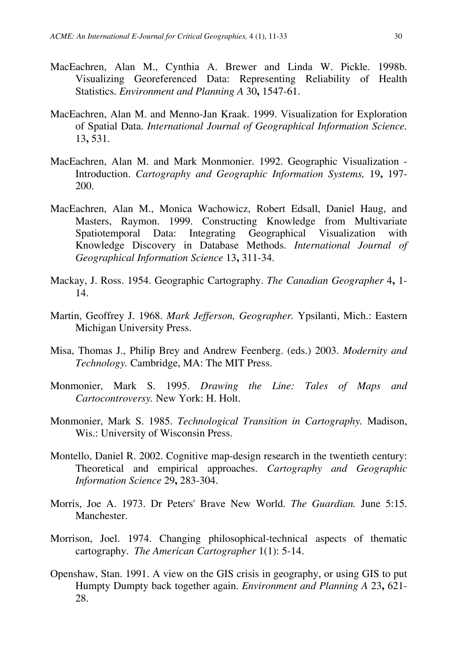- MacEachren, Alan M., Cynthia A. Brewer and Linda W. Pickle. 1998b. Visualizing Georeferenced Data: Representing Reliability of Health Statistics. *Environment and Planning A* 30**,** 1547-61.
- MacEachren, Alan M. and Menno-Jan Kraak. 1999. Visualization for Exploration of Spatial Data. *International Journal of Geographical Information Science.* 13**,** 531.
- MacEachren, Alan M. and Mark Monmonier. 1992. Geographic Visualization Introduction. *Cartography and Geographic Information Systems,* 19**,** 197- 200.
- MacEachren, Alan M., Monica Wachowicz, Robert Edsall, Daniel Haug, and Masters, Raymon. 1999. Constructing Knowledge from Multivariate Spatiotemporal Data: Integrating Geographical Visualization with Knowledge Discovery in Database Methods. *International Journal of Geographical Information Science* 13**,** 311-34.
- Mackay, J. Ross. 1954. Geographic Cartography. *The Canadian Geographer* 4**,** 1- 14.
- Martin, Geoffrey J. 1968. *Mark Jefferson, Geographer.* Ypsilanti, Mich.: Eastern Michigan University Press.
- Misa, Thomas J., Philip Brey and Andrew Feenberg. (eds.) 2003. *Modernity and Technology.* Cambridge, MA: The MIT Press.
- Monmonier, Mark S. 1995. *Drawing the Line: Tales of Maps and Cartocontroversy.* New York: H. Holt.
- Monmonier, Mark S. 1985. *Technological Transition in Cartography.* Madison, Wis.: University of Wisconsin Press.
- Montello, Daniel R. 2002. Cognitive map-design research in the twentieth century: Theoretical and empirical approaches. *Cartography and Geographic Information Science* 29**,** 283-304.
- Morris, Joe A. 1973. Dr Peters' Brave New World. *The Guardian.* June 5:15. Manchester.
- Morrison, Joel. 1974. Changing philosophical-technical aspects of thematic cartography. *The American Cartographer* 1(1): 5-14.
- Openshaw, Stan. 1991. A view on the GIS crisis in geography, or using GIS to put Humpty Dumpty back together again. *Environment and Planning A* 23**,** 621- 28.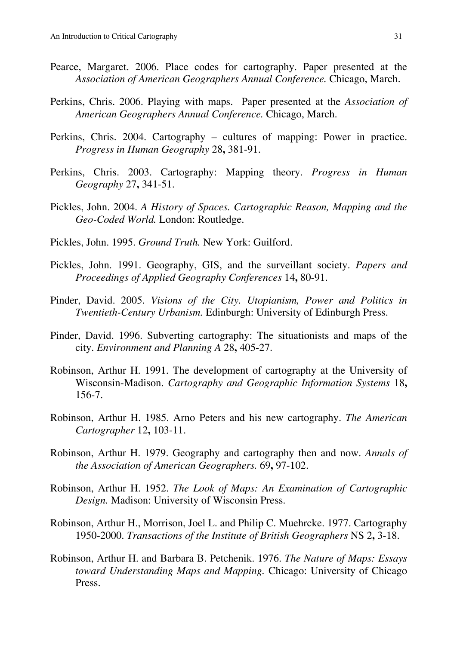- Pearce, Margaret. 2006. Place codes for cartography. Paper presented at the *Association of American Geographers Annual Conference.* Chicago, March.
- Perkins, Chris. 2006. Playing with maps. Paper presented at the *Association of American Geographers Annual Conference.* Chicago, March.
- Perkins, Chris. 2004. Cartography cultures of mapping: Power in practice. *Progress in Human Geography* 28**,** 381-91.
- Perkins, Chris. 2003. Cartography: Mapping theory. *Progress in Human Geography* 27**,** 341-51.
- Pickles, John. 2004. *A History of Spaces. Cartographic Reason, Mapping and the Geo-Coded World.* London: Routledge.
- Pickles, John. 1995. *Ground Truth.* New York: Guilford.
- Pickles, John. 1991. Geography, GIS, and the surveillant society. *Papers and Proceedings of Applied Geography Conferences* 14**,** 80-91.
- Pinder, David. 2005. *Visions of the City. Utopianism, Power and Politics in Twentieth-Century Urbanism.* Edinburgh: University of Edinburgh Press.
- Pinder, David. 1996. Subverting cartography: The situationists and maps of the city. *Environment and Planning A* 28**,** 405-27.
- Robinson, Arthur H. 1991. The development of cartography at the University of Wisconsin-Madison. *Cartography and Geographic Information Systems* 18**,** 156-7.
- Robinson, Arthur H. 1985. Arno Peters and his new cartography. *The American Cartographer* 12**,** 103-11.
- Robinson, Arthur H. 1979. Geography and cartography then and now. *Annals of the Association of American Geographers.* 69**,** 97-102.
- Robinson, Arthur H. 1952. *The Look of Maps: An Examination of Cartographic Design.* Madison: University of Wisconsin Press.
- Robinson, Arthur H., Morrison, Joel L. and Philip C. Muehrcke. 1977. Cartography 1950-2000. *Transactions of the Institute of British Geographers* NS 2**,** 3-18.
- Robinson, Arthur H. and Barbara B. Petchenik. 1976. *The Nature of Maps: Essays toward Understanding Maps and Mapping.* Chicago: University of Chicago Press.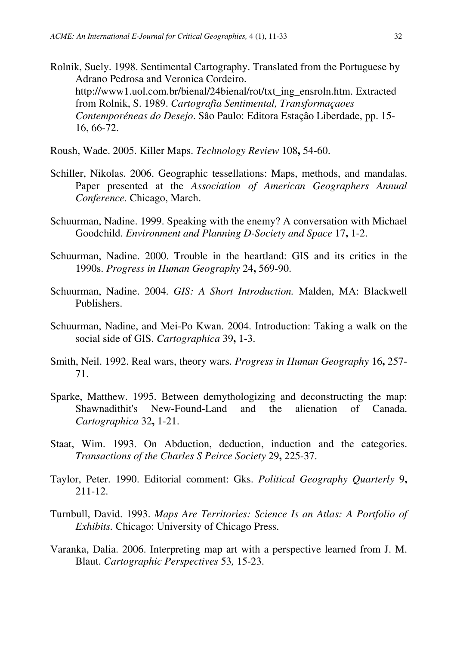Rolnik, Suely. 1998. Sentimental Cartography. Translated from the Portuguese by Adrano Pedrosa and Veronica Cordeiro. http://www1.uol.com.br/bienal/24bienal/rot/txt\_ing\_ensroln.htm. Extracted from Rolnik, S. 1989. *Cartografia Sentimental, Transformaçaoes Contemporéneas do Desejo*. Sâo Paulo: Editora Estaçâo Liberdade, pp. 15- 16, 66-72.

Roush, Wade. 2005. Killer Maps. *Technology Review* 108**,** 54-60.

- Schiller, Nikolas. 2006. Geographic tessellations: Maps, methods, and mandalas. Paper presented at the *Association of American Geographers Annual Conference.* Chicago, March.
- Schuurman, Nadine. 1999. Speaking with the enemy? A conversation with Michael Goodchild. *Environment and Planning D-Society and Space* 17**,** 1-2.
- Schuurman, Nadine. 2000. Trouble in the heartland: GIS and its critics in the 1990s. *Progress in Human Geography* 24**,** 569-90.
- Schuurman, Nadine. 2004. *GIS: A Short Introduction.* Malden, MA: Blackwell Publishers.
- Schuurman, Nadine, and Mei-Po Kwan. 2004. Introduction: Taking a walk on the social side of GIS. *Cartographica* 39**,** 1-3.
- Smith, Neil. 1992. Real wars, theory wars. *Progress in Human Geography* 16**,** 257- 71.
- Sparke, Matthew. 1995. Between demythologizing and deconstructing the map: Shawnadithit's New-Found-Land and the alienation of Canada. *Cartographica* 32**,** 1-21.
- Staat, Wim. 1993. On Abduction, deduction, induction and the categories. *Transactions of the Charles S Peirce Society* 29**,** 225-37.
- Taylor, Peter. 1990. Editorial comment: Gks. *Political Geography Quarterly* 9**,** 211-12.
- Turnbull, David. 1993. *Maps Are Territories: Science Is an Atlas: A Portfolio of Exhibits.* Chicago: University of Chicago Press.
- Varanka, Dalia. 2006. Interpreting map art with a perspective learned from J. M. Blaut. *Cartographic Perspectives* 53*,* 15-23.